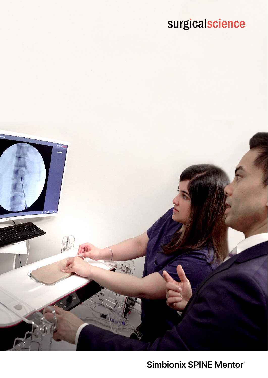# surgicalscience



## **Simbionix SPINE Mentor®**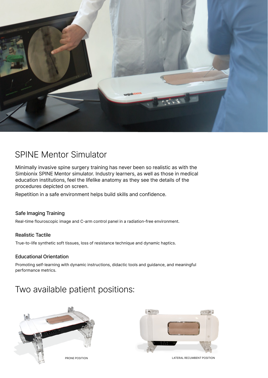

### SPINE Mentor Simulator

Minimally invasive spine surgery training has never been so realistic as with the Simbionix SPINE Mentor simulator. Industry learners, as well as those in medical education institutions, feel the lifelike anatomy as they see the details of the procedures depicted on screen.

Repetition in a safe environment helps build skills and confidence.

### Safe Imaging Training

Real-time flouroscopic image and C-arm control panel in a radiation-free environment.

#### Realistic Tactile

True-to-life synthetic soft tissues, loss of resistance technique and dynamic haptics.

#### Educational Orientation

Promoting self-learning with dynamic instructions, didactic tools and guidance, and meaningful performance metrics.

### Two available patient positions:



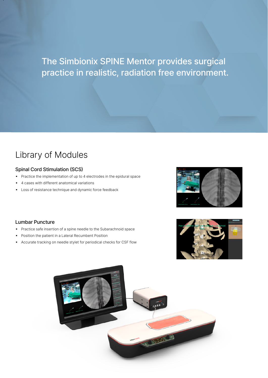The Simbionix SPINE Mentor provides surgical practice in realistic, radiation free environment.

### Library of Modules

#### Spinal Cord Stimulation (SCS)

- **Practice the implementation of up to 4 electrodes in the epidural space**
- 4 cases with different anatomical variations
- **-** Loss of resistance technique and dynamic force feedback



#### Lumbar Puncture

- Practice safe insertion of a spine needle to the Subarachnoid space
- Position the patient in a Lateral Recumbent Position
- Accurate tracking on needle stylet for periodical checks for CSF flow